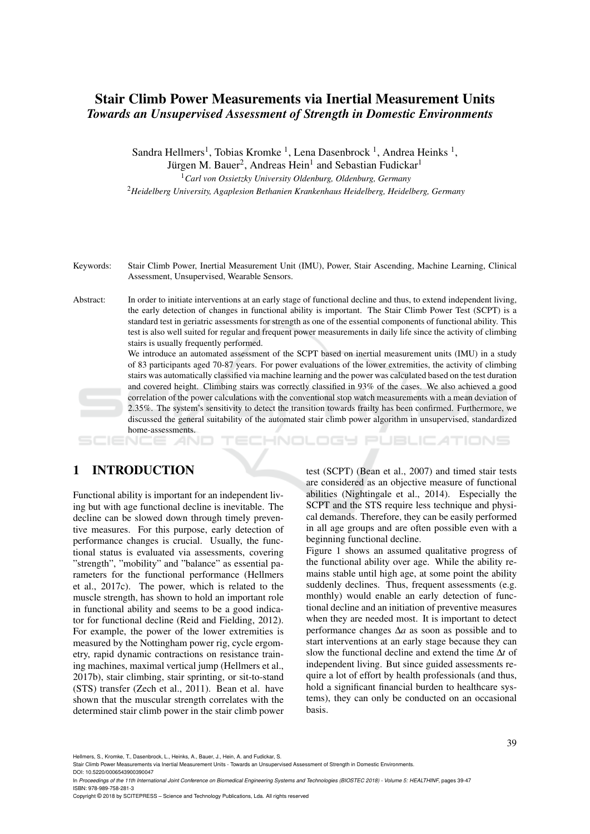## Stair Climb Power Measurements via Inertial Measurement Units *Towards an Unsupervised Assessment of Strength in Domestic Environments*

Sandra Hellmers<sup>1</sup>, Tobias Kromke<sup>1</sup>, Lena Dasenbrock<sup>1</sup>, Andrea Heinks<sup>1</sup>, Jürgen M. Bauer<sup>2</sup>, Andreas Hein<sup>1</sup> and Sebastian Fudickar<sup>1</sup> <sup>1</sup>*Carl von Ossietzky University Oldenburg, Oldenburg, Germany*

<sup>2</sup>*Heidelberg University, Agaplesion Bethanien Krankenhaus Heidelberg, Heidelberg, Germany*

Keywords: Stair Climb Power, Inertial Measurement Unit (IMU), Power, Stair Ascending, Machine Learning, Clinical Assessment, Unsupervised, Wearable Sensors.

Abstract: In order to initiate interventions at an early stage of functional decline and thus, to extend independent living, the early detection of changes in functional ability is important. The Stair Climb Power Test (SCPT) is a standard test in geriatric assessments for strength as one of the essential components of functional ability. This test is also well suited for regular and frequent power measurements in daily life since the activity of climbing stairs is usually frequently performed.

We introduce an automated assessment of the SCPT based on inertial measurement units (IMU) in a study of 83 participants aged 70-87 years. For power evaluations of the lower extremities, the activity of climbing stairs was automatically classified via machine learning and the power was calculated based on the test duration and covered height. Climbing stairs was correctly classified in 93% of the cases. We also achieved a good correlation of the power calculations with the conventional stop watch measurements with a mean deviation of 2.35%. The system's sensitivity to detect the transition towards frailty has been confirmed. Furthermore, we discussed the general suitability of the automated stair climb power algorithm in unsupervised, standardized home-assessments.

# 1 INTRODUCTION

Functional ability is important for an independent living but with age functional decline is inevitable. The decline can be slowed down through timely preventive measures. For this purpose, early detection of performance changes is crucial. Usually, the functional status is evaluated via assessments, covering "strength", "mobility" and "balance" as essential parameters for the functional performance (Hellmers et al., 2017c). The power, which is related to the muscle strength, has shown to hold an important role in functional ability and seems to be a good indicator for functional decline (Reid and Fielding, 2012). For example, the power of the lower extremities is measured by the Nottingham power rig, cycle ergometry, rapid dynamic contractions on resistance training machines, maximal vertical jump (Hellmers et al., 2017b), stair climbing, stair sprinting, or sit-to-stand (STS) transfer (Zech et al., 2011). Bean et al. have shown that the muscular strength correlates with the determined stair climb power in the stair climb power test (SCPT) (Bean et al., 2007) and timed stair tests are considered as an objective measure of functional abilities (Nightingale et al., 2014). Especially the SCPT and the STS require less technique and physical demands. Therefore, they can be easily performed in all age groups and are often possible even with a beginning functional decline.

HNOLOGY PUBLICATIONS

Figure 1 shows an assumed qualitative progress of the functional ability over age. While the ability remains stable until high age, at some point the ability suddenly declines. Thus, frequent assessments (e.g. monthly) would enable an early detection of functional decline and an initiation of preventive measures when they are needed most. It is important to detect performance changes ∆*a* as soon as possible and to start interventions at an early stage because they can slow the functional decline and extend the time ∆*t* of independent living. But since guided assessments require a lot of effort by health professionals (and thus, hold a significant financial burden to healthcare systems), they can only be conducted on an occasional basis.

Hellmers, S., Kromke, T., Dasenbrock, L., Heinks, A., Bauer, J., Hein, A. and Fudickar, S.

Stair Climb Power Measurements via Inertial Measurement Units - Towards an Unsupervised Assessment of Strength in Domestic Environments. DOI: 10.5220/0006543900390047

In *Proceedings of the 11th International Joint Conference on Biomedical Engineering Systems and Technologies (BIOSTEC 2018) - Volume 5: HEALTHINF*, pages 39-47 ISBN: 978-989-758-281-3

Copyright © 2018 by SCITEPRESS – Science and Technology Publications, Lda. All rights reserved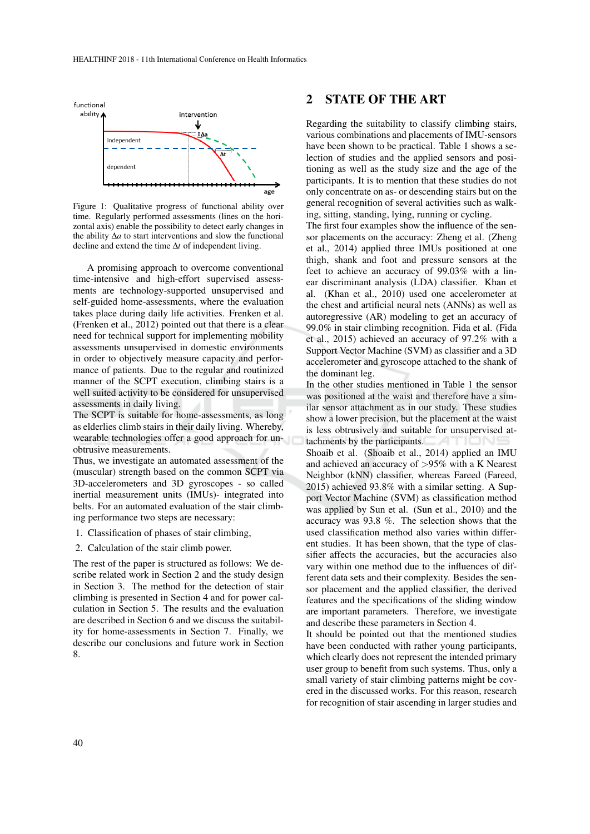

Figure 1: Qualitative progress of functional ability over time. Regularly performed assessments (lines on the horizontal axis) enable the possibility to detect early changes in the ability ∆*a* to start interventions and slow the functional decline and extend the time ∆*t* of independent living.

A promising approach to overcome conventional time-intensive and high-effort supervised assessments are technology-supported unsupervised and self-guided home-assessments, where the evaluation takes place during daily life activities. Frenken et al. (Frenken et al., 2012) pointed out that there is a clear need for technical support for implementing mobility assessments unsupervised in domestic environments in order to objectively measure capacity and performance of patients. Due to the regular and routinized manner of the SCPT execution, climbing stairs is a well suited activity to be considered for unsupervised assessments in daily living.

The SCPT is suitable for home-assessments, as long as elderlies climb stairs in their daily living. Whereby, wearable technologies offer a good approach for unobtrusive measurements.

Thus, we investigate an automated assessment of the (muscular) strength based on the common SCPT via 3D-accelerometers and 3D gyroscopes - so called inertial measurement units (IMUs)- integrated into belts. For an automated evaluation of the stair climbing performance two steps are necessary:

- 1. Classification of phases of stair climbing,
- 2. Calculation of the stair climb power.

The rest of the paper is structured as follows: We describe related work in Section 2 and the study design in Section 3. The method for the detection of stair climbing is presented in Section 4 and for power calculation in Section 5. The results and the evaluation are described in Section 6 and we discuss the suitability for home-assessments in Section 7. Finally, we describe our conclusions and future work in Section 8.

## 2 STATE OF THE ART

Regarding the suitability to classify climbing stairs, various combinations and placements of IMU-sensors have been shown to be practical. Table 1 shows a selection of studies and the applied sensors and positioning as well as the study size and the age of the participants. It is to mention that these studies do not only concentrate on as- or descending stairs but on the general recognition of several activities such as walking, sitting, standing, lying, running or cycling.

The first four examples show the influence of the sensor placements on the accuracy: Zheng et al. (Zheng et al., 2014) applied three IMUs positioned at one thigh, shank and foot and pressure sensors at the feet to achieve an accuracy of 99.03% with a linear discriminant analysis (LDA) classifier. Khan et al. (Khan et al., 2010) used one accelerometer at the chest and artificial neural nets (ANNs) as well as autoregressive (AR) modeling to get an accuracy of 99.0% in stair climbing recognition. Fida et al. (Fida et al., 2015) achieved an accuracy of 97.2% with a Support Vector Machine (SVM) as classifier and a 3D accelerometer and gyroscope attached to the shank of the dominant leg.

In the other studies mentioned in Table 1 the sensor was positioned at the waist and therefore have a similar sensor attachment as in our study. These studies show a lower precision, but the placement at the waist is less obtrusively and suitable for unsupervised attachments by the participants. 4T ON! Shoaib et al. (Shoaib et al., 2014) applied an IMU and achieved an accuracy of >95% with a K Nearest Neighbor (kNN) classifier, whereas Fareed (Fareed, 2015) achieved 93.8% with a similar setting. A Support Vector Machine (SVM) as classification method was applied by Sun et al. (Sun et al., 2010) and the accuracy was 93.8 %. The selection shows that the used classification method also varies within different studies. It has been shown, that the type of classifier affects the accuracies, but the accuracies also vary within one method due to the influences of different data sets and their complexity. Besides the sensor placement and the applied classifier, the derived features and the specifications of the sliding window are important parameters. Therefore, we investigate and describe these parameters in Section 4.

It should be pointed out that the mentioned studies have been conducted with rather young participants, which clearly does not represent the intended primary user group to benefit from such systems. Thus, only a small variety of stair climbing patterns might be covered in the discussed works. For this reason, research for recognition of stair ascending in larger studies and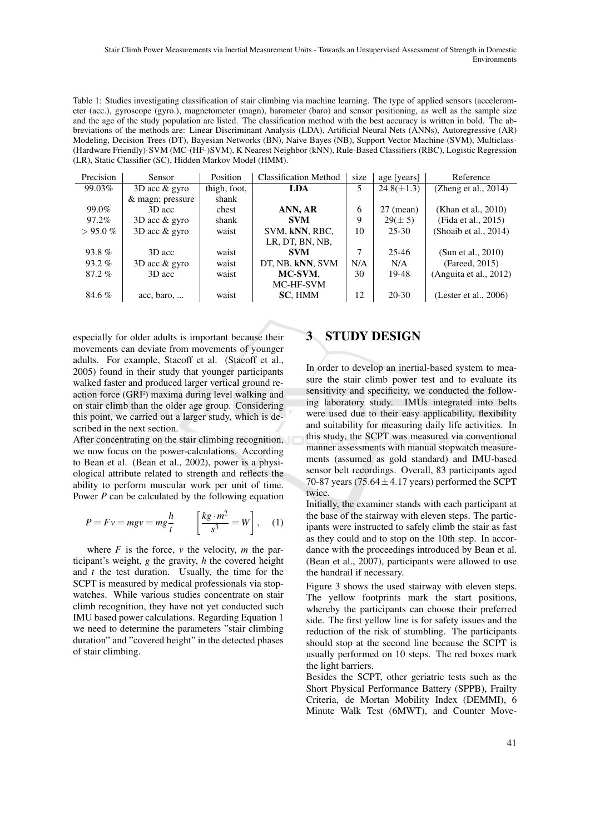Table 1: Studies investigating classification of stair climbing via machine learning. The type of applied sensors (accelerometer (acc.), gyroscope (gyro.), magnetometer (magn), barometer (baro) and sensor positioning, as well as the sample size and the age of the study population are listed. The classification method with the best accuracy is written in bold. The abbreviations of the methods are: Linear Discriminant Analysis (LDA), Artificial Neural Nets (ANNs), Autoregressive (AR) Modeling, Decision Trees (DT), Bayesian Networks (BN), Naive Bayes (NB), Support Vector Machine (SVM), Multiclass- (Hardware Friendly)-SVM (MC-(HF-)SVM), K Nearest Neighbor (kNN), Rule-Based Classifiers (RBC), Logistic Regression (LR), Static Classifier (SC), Hidden Markov Model (HMM).

| Precision | Sensor             | Position     | <b>Classification Method</b> | size | age [years]         | Reference                 |
|-----------|--------------------|--------------|------------------------------|------|---------------------|---------------------------|
| 99.03%    | $3D$ acc $\&$ gyro | thigh, foot, | <b>LDA</b>                   | 5.   | $24.8(\pm 1.3)$     | (Zheng et al., $2014$ )   |
|           | & magn; pressure   | shank        |                              |      |                     |                           |
| 99.0%     | 3D acc             | chest        | ANN, AR                      | 6    | $27 \text{ (mean)}$ | (Khan et al., 2010)       |
| 97.2%     | $3D$ acc $\&$ gyro | shank        | <b>SVM</b>                   | 9    | $29 (\pm 5)$        | (Fida et al., 2015)       |
| $>95.0\%$ | $3D$ acc & gyro    | waist        | SVM, kNN, RBC,               | 10   | $25 - 30$           | (Shoaib et al., $2014$ )  |
|           |                    |              | LR, DT, BN, NB,              |      |                     |                           |
| $93.8\%$  | 3D acc             | waist        | <b>SVM</b>                   | 7    | $25 - 46$           | (Sun et al., $2010$ )     |
| $93.2\%$  | $3D$ acc $\&$ gyro | waist        | DT, NB, kNN, SVM             | N/A  | N/A                 | (Fareed, 2015)            |
| $87.2\%$  | 3D acc             | waist        | MC-SVM,                      | 30   | 19-48               | (Anguita et al., $2012$ ) |
|           |                    |              | MC-HF-SVM                    |      |                     |                           |
| 84.6%     | acc, baro,         | waist        | SC, HMM                      | 12   | $20 - 30$           | (Lester et al., $2006$ )  |

especially for older adults is important because their movements can deviate from movements of younger adults. For example, Stacoff et al. (Stacoff et al., 2005) found in their study that younger participants walked faster and produced larger vertical ground reaction force (GRF) maxima during level walking and on stair climb than the older age group. Considering this point, we carried out a larger study, which is described in the next section.

After concentrating on the stair climbing recognition, we now focus on the power-calculations. According to Bean et al. (Bean et al., 2002), power is a physiological attribute related to strength and reflects the ability to perform muscular work per unit of time. Power *P* can be calculated by the following equation

$$
P = Fv = mgv = mg\frac{h}{t} \qquad \left[\frac{kg \cdot m^2}{s^3} = W\right], \quad (1)
$$

where  $F$  is the force,  $v$  the velocity,  $m$  the participant's weight, *g* the gravity, *h* the covered height and *t* the test duration. Usually, the time for the SCPT is measured by medical professionals via stopwatches. While various studies concentrate on stair climb recognition, they have not yet conducted such IMU based power calculations. Regarding Equation 1 we need to determine the parameters "stair climbing duration" and "covered height" in the detected phases of stair climbing.

## **STUDY DESIGN**

In order to develop an inertial-based system to measure the stair climb power test and to evaluate its sensitivity and specificity, we conducted the following laboratory study. IMUs integrated into belts were used due to their easy applicability, flexibility and suitability for measuring daily life activities. In this study, the SCPT was measured via conventional manner assessments with manual stopwatch measurements (assumed as gold standard) and IMU-based sensor belt recordings. Overall, 83 participants aged 70-87 years (75.64 $\pm$ 4.17 years) performed the SCPT twice.

Initially, the examiner stands with each participant at the base of the stairway with eleven steps. The participants were instructed to safely climb the stair as fast as they could and to stop on the 10th step. In accordance with the proceedings introduced by Bean et al. (Bean et al., 2007), participants were allowed to use the handrail if necessary.

Figure 3 shows the used stairway with eleven steps. The yellow footprints mark the start positions, whereby the participants can choose their preferred side. The first yellow line is for safety issues and the reduction of the risk of stumbling. The participants should stop at the second line because the SCPT is usually performed on 10 steps. The red boxes mark the light barriers.

Besides the SCPT, other geriatric tests such as the Short Physical Performance Battery (SPPB), Frailty Criteria, de Mortan Mobility Index (DEMMI), 6 Minute Walk Test (6MWT), and Counter Move-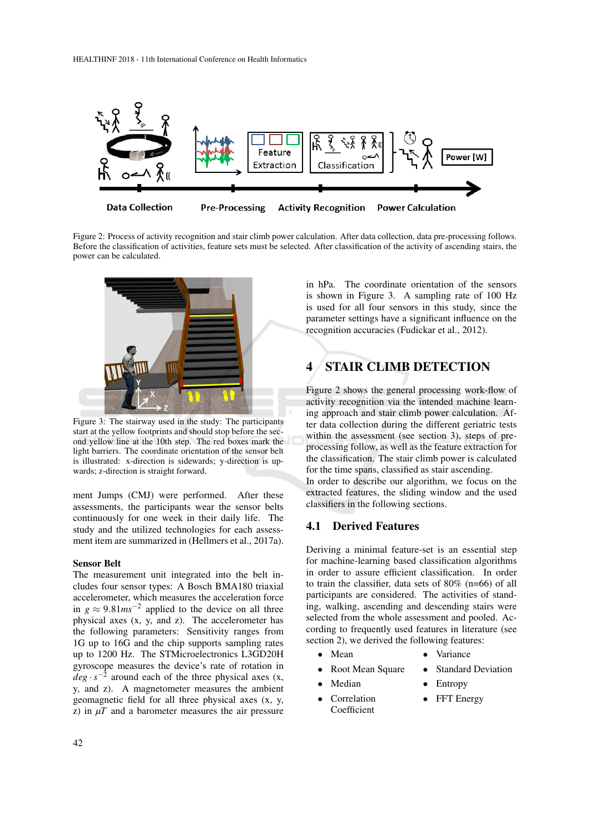

Figure 2: Process of activity recognition and stair climb power calculation. After data collection, data pre-processing follows. Before the classification of activities, feature sets must be selected. After classification of the activity of ascending stairs, the power can be calculated.



Figure 3: The stairway used in the study: The participants start at the yellow footprints and should stop before the second yellow line at the 10th step. The red boxes mark the light barriers. The coordinate orientation of the sensor belt is illustrated: x-direction is sidewards; y-direction is upwards; z-direction is straight forward.

ment Jumps (CMJ) were performed. After these assessments, the participants wear the sensor belts continuously for one week in their daily life. The study and the utilized technologies for each assessment item are summarized in (Hellmers et al., 2017a).

#### Sensor Belt

The measurement unit integrated into the belt includes four sensor types: A Bosch BMA180 triaxial accelerometer, which measures the acceleration force in *g* ≈ 9.81*ms*<sup> $-2$ </sup> applied to the device on all three physical axes (x, y, and z). The accelerometer has the following parameters: Sensitivity ranges from 1G up to 16G and the chip supports sampling rates up to 1200 Hz. The STMicroelectronics L3GD20H gyroscope measures the device's rate of rotation in  $deg \cdot s^{-2}$  around each of the three physical axes (x, y, and z). A magnetometer measures the ambient geomagnetic field for all three physical axes (x, y, z) in  $\mu$  and a barometer measures the air pressure

in hPa. The coordinate orientation of the sensors is shown in Figure 3. A sampling rate of 100 Hz is used for all four sensors in this study, since the parameter settings have a significant influence on the recognition accuracies (Fudickar et al., 2012).

## 4 STAIR CLIMB DETECTION

Figure 2 shows the general processing work-flow of activity recognition via the intended machine learning approach and stair climb power calculation. After data collection during the different geriatric tests within the assessment (see section 3), steps of preprocessing follow, as well as the feature extraction for the classification. The stair climb power is calculated for the time spans, classified as stair ascending. In order to describe our algorithm, we focus on the extracted features, the sliding window and the used classifiers in the following sections.

### 4.1 Derived Features

Deriving a minimal feature-set is an essential step for machine-learning based classification algorithms in order to assure efficient classification. In order to train the classifier, data sets of 80% (n=66) of all participants are considered. The activities of standing, walking, ascending and descending stairs were selected from the whole assessment and pooled. According to frequently used features in literature (see section 2), we derived the following features:

- Mean Variance
	- Root Mean Square Standard Deviation
		-
- Median Entropy
	-
- Correlation Coefficient **FFT** Energy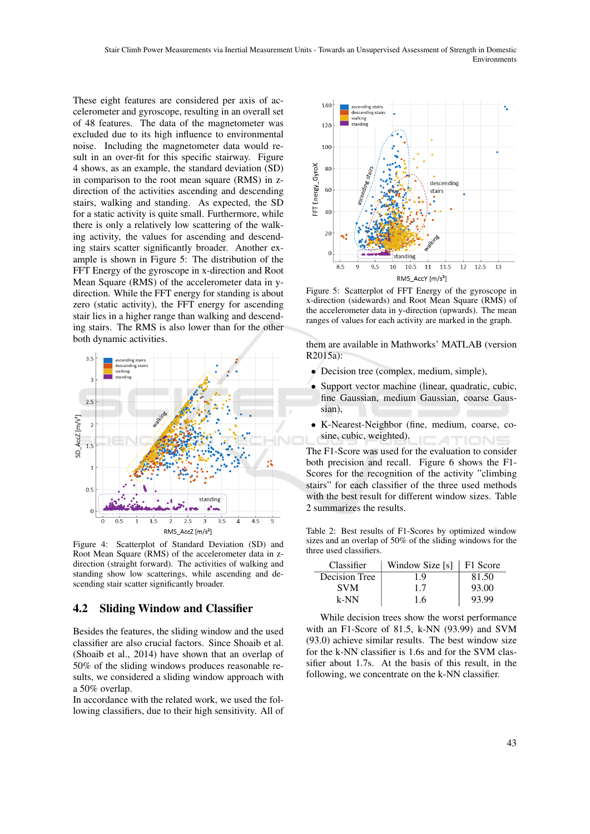These eight features are considered per axis of accelerometer and gyroscope, resulting in an overall set of 48 features. The data of the magnetometer was excluded due to its high influence to environmental noise. Including the magnetometer data would result in an over-fit for this specific stairway. Figure 4 shows, as an example, the standard deviation (SD) in comparison to the root mean square (RMS) in zdirection of the activities ascending and descending stairs, walking and standing. As expected, the SD for a static activity is quite small. Furthermore, while there is only a relatively low scattering of the walking activity, the values for ascending and descending stairs scatter significantly broader. Another example is shown in Figure 5: The distribution of the FFT Energy of the gyroscope in x-direction and Root Mean Square (RMS) of the accelerometer data in ydirection. While the FFT energy for standing is about zero (static activity), the FFT energy for ascending stair lies in a higher range than walking and descending stairs. The RMS is also lower than for the other both dynamic activities.



Figure 4: Scatterplot of Standard Deviation (SD) and Root Mean Square (RMS) of the accelerometer data in zdirection (straight forward). The activities of walking and standing show low scatterings, while ascending and descending stair scatter significantly broader.

### 4.2 Sliding Window and Classifier

Besides the features, the sliding window and the used classifier are also crucial factors. Since Shoaib et al. (Shoaib et al., 2014) have shown that an overlap of 50% of the sliding windows produces reasonable results, we considered a sliding window approach with a 50% overlap.

In accordance with the related work, we used the following classifiers, due to their high sensitivity. All of



Figure 5: Scatterplot of FFT Energy of the gyroscope in x-direction (sidewards) and Root Mean Square (RMS) of the accelerometer data in y-direction (upwards). The mean ranges of values for each activity are marked in the graph.

them are available in Mathworks' MATLAB (version  $R2015a$ 

- Decision tree (complex, medium, simple),
- Support vector machine (linear, quadratic, cubic, fine Gaussian, medium Gaussian, coarse Gaussian)
- K-Nearest-Neighbor (fine, medium, coarse, cosine, cubic, weighted).

The F1-Score was used for the evaluation to consider both precision and recall. Figure 6 shows the F1- Scores for the recognition of the activity "climbing stairs" for each classifier of the three used methods with the best result for different window sizes. Table 2 summarizes the results.

Table 2: Best results of F1-Scores by optimized window sizes and an overlap of 50% of the sliding windows for the three used classifiers.

| Classifier    | Window Size $[s]$   F1 Score |       |
|---------------|------------------------------|-------|
| Decision Tree | 19                           | 81.50 |
| <b>SVM</b>    | 1.7                          | 93.00 |
| k-NN          | 1.6                          | 93.99 |

While decision trees show the worst performance with an F1-Score of 81.5, k-NN (93.99) and SVM (93.0) achieve similar results. The best window size for the k-NN classifier is 1.6s and for the SVM classifier about 1.7s. At the basis of this result, in the following, we concentrate on the k-NN classifier.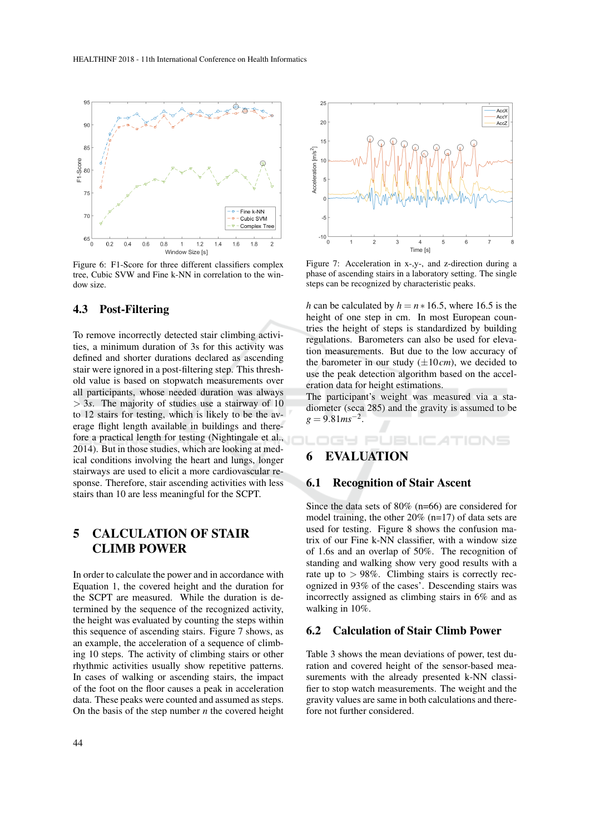

Figure 6: F1-Score for three different classifiers complex tree, Cubic SVW and Fine k-NN in correlation to the window size.

## 4.3 Post-Filtering

To remove incorrectly detected stair climbing activities, a minimum duration of 3s for this activity was defined and shorter durations declared as ascending stair were ignored in a post-filtering step. This threshold value is based on stopwatch measurements over all participants, whose needed duration was always > 3*s*. The majority of studies use a stairway of 10 to 12 stairs for testing, which is likely to be the average flight length available in buildings and therefore a practical length for testing (Nightingale et al., 2014). But in those studies, which are looking at medical conditions involving the heart and lungs, longer stairways are used to elicit a more cardiovascular response. Therefore, stair ascending activities with less stairs than 10 are less meaningful for the SCPT.

## 5 CALCULATION OF STAIR CLIMB POWER

In order to calculate the power and in accordance with Equation 1, the covered height and the duration for the SCPT are measured. While the duration is determined by the sequence of the recognized activity, the height was evaluated by counting the steps within this sequence of ascending stairs. Figure 7 shows, as an example, the acceleration of a sequence of climbing 10 steps. The activity of climbing stairs or other rhythmic activities usually show repetitive patterns. In cases of walking or ascending stairs, the impact of the foot on the floor causes a peak in acceleration data. These peaks were counted and assumed as steps. On the basis of the step number *n* the covered height



Figure 7: Acceleration in x-,y-, and z-direction during a phase of ascending stairs in a laboratory setting. The single steps can be recognized by characteristic peaks.

*h* can be calculated by  $h = n * 16.5$ , where 16.5 is the height of one step in cm. In most European countries the height of steps is standardized by building regulations. Barometers can also be used for elevation measurements. But due to the low accuracy of the barometer in our study  $(\pm 10 \text{ cm})$ , we decided to use the peak detection algorithm based on the acceleration data for height estimations.

The participant's weight was measured via a stadiometer (seca 285) and the gravity is assumed to be  $g = 9.81$   $ms^{-2}$ .

## IGY PUBLIC ATIONS

## 6 EVALUATION

### 6.1 Recognition of Stair Ascent

Since the data sets of 80% (n=66) are considered for model training, the other 20% (n=17) of data sets are used for testing. Figure 8 shows the confusion matrix of our Fine k-NN classifier, with a window size of 1.6s and an overlap of 50%. The recognition of standing and walking show very good results with a rate up to  $> 98\%$ . Climbing stairs is correctly recognized in 93% of the cases'. Descending stairs was incorrectly assigned as climbing stairs in 6% and as walking in 10%.

#### 6.2 Calculation of Stair Climb Power

Table 3 shows the mean deviations of power, test duration and covered height of the sensor-based measurements with the already presented k-NN classifier to stop watch measurements. The weight and the gravity values are same in both calculations and therefore not further considered.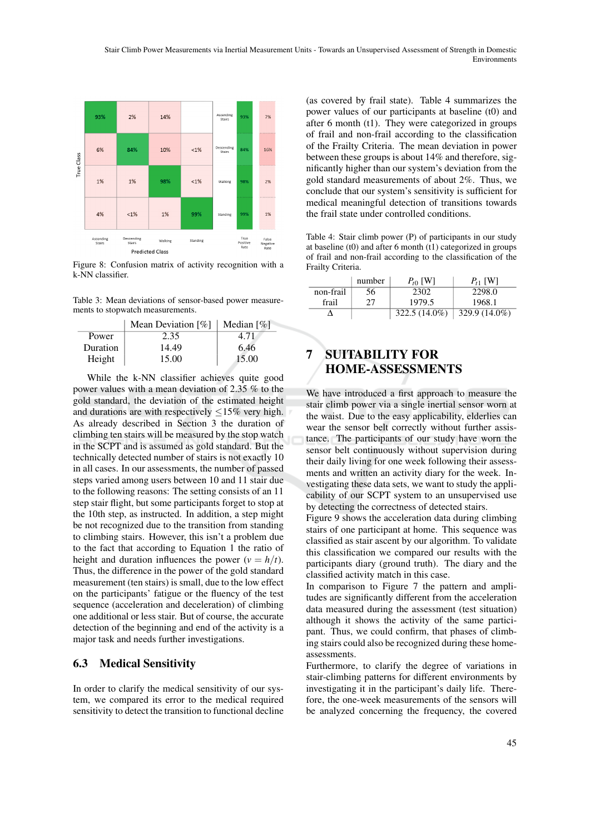

Figure 8: Confusion matrix of activity recognition with a k-NN classifier.

Table 3: Mean deviations of sensor-based power measurements to stopwatch measurements.

|          | Mean Deviation $\lceil \% \rceil$ | Median $\lceil \% \rceil$ |
|----------|-----------------------------------|---------------------------|
| Power    | 2.35                              | 4.71                      |
| Duration | 14.49                             | 6.46                      |
| Height   | 15.00                             | 15.00                     |

While the k-NN classifier achieves quite good power values with a mean deviation of 2.35 % to the gold standard, the deviation of the estimated height and durations are with respectively  $\leq 15\%$  very high. As already described in Section 3 the duration of climbing ten stairs will be measured by the stop watch in the SCPT and is assumed as gold standard. But the technically detected number of stairs is not exactly 10 in all cases. In our assessments, the number of passed steps varied among users between 10 and 11 stair due to the following reasons: The setting consists of an 11 step stair flight, but some participants forget to stop at the 10th step, as instructed. In addition, a step might be not recognized due to the transition from standing to climbing stairs. However, this isn't a problem due to the fact that according to Equation 1 the ratio of height and duration influences the power ( $v = h/t$ ). Thus, the difference in the power of the gold standard measurement (ten stairs) is small, due to the low effect on the participants' fatigue or the fluency of the test sequence (acceleration and deceleration) of climbing one additional or less stair. But of course, the accurate detection of the beginning and end of the activity is a major task and needs further investigations.

### 6.3 Medical Sensitivity

In order to clarify the medical sensitivity of our system, we compared its error to the medical required sensitivity to detect the transition to functional decline

(as covered by frail state). Table 4 summarizes the power values of our participants at baseline (t0) and after 6 month (t1). They were categorized in groups of frail and non-frail according to the classification of the Frailty Criteria. The mean deviation in power between these groups is about 14% and therefore, significantly higher than our system's deviation from the gold standard measurements of about 2%. Thus, we conclude that our system's sensitivity is sufficient for medical meaningful detection of transitions towards the frail state under controlled conditions.

Table 4: Stair climb power (P) of participants in our study at baseline (t0) and after 6 month  $(t)$  categorized in groups of frail and non-frail according to the classification of the Frailty Criteria.

|           | number | $P_{t0}$ [W]    | $P_{t1}$ [W]  |
|-----------|--------|-----------------|---------------|
| non-frail | 56     | 2302            | 2298.0        |
| frail     | 27     | 1979.5          | 1968.1        |
|           |        | $322.5(14.0\%)$ | 329.9 (14.0%) |

## 7 SUITABILITY FOR HOME-ASSESSMENTS

We have introduced a first approach to measure the stair climb power via a single inertial sensor worn at the waist. Due to the easy applicability, elderlies can wear the sensor belt correctly without further assistance. The participants of our study have worn the sensor belt continuously without supervision during their daily living for one week following their assessments and written an activity diary for the week. Investigating these data sets, we want to study the applicability of our SCPT system to an unsupervised use by detecting the correctness of detected stairs.

Figure 9 shows the acceleration data during climbing stairs of one participant at home. This sequence was classified as stair ascent by our algorithm. To validate this classification we compared our results with the participants diary (ground truth). The diary and the classified activity match in this case.

In comparison to Figure 7 the pattern and amplitudes are significantly different from the acceleration data measured during the assessment (test situation) although it shows the activity of the same participant. Thus, we could confirm, that phases of climbing stairs could also be recognized during these homeassessments.

Furthermore, to clarify the degree of variations in stair-climbing patterns for different environments by investigating it in the participant's daily life. Therefore, the one-week measurements of the sensors will be analyzed concerning the frequency, the covered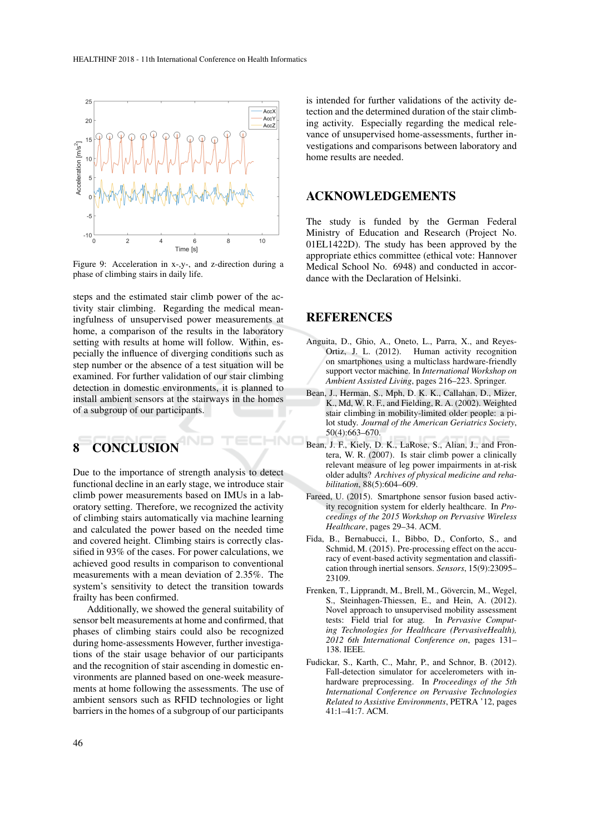

Figure 9: Acceleration in x-,y-, and z-direction during a phase of climbing stairs in daily life.

steps and the estimated stair climb power of the activity stair climbing. Regarding the medical meaningfulness of unsupervised power measurements at home, a comparison of the results in the laboratory setting with results at home will follow. Within, especially the influence of diverging conditions such as step number or the absence of a test situation will be examined. For further validation of our stair climbing detection in domestic environments, it is planned to install ambient sensors at the stairways in the homes of a subgroup of our participants.

## 8 CONCLUSION

Due to the importance of strength analysis to detect functional decline in an early stage, we introduce stair climb power measurements based on IMUs in a laboratory setting. Therefore, we recognized the activity of climbing stairs automatically via machine learning and calculated the power based on the needed time and covered height. Climbing stairs is correctly classified in 93% of the cases. For power calculations, we achieved good results in comparison to conventional measurements with a mean deviation of 2.35%. The system's sensitivity to detect the transition towards frailty has been confirmed.

Additionally, we showed the general suitability of sensor belt measurements at home and confirmed, that phases of climbing stairs could also be recognized during home-assessments However, further investigations of the stair usage behavior of our participants and the recognition of stair ascending in domestic environments are planned based on one-week measurements at home following the assessments. The use of ambient sensors such as RFID technologies or light barriers in the homes of a subgroup of our participants

is intended for further validations of the activity detection and the determined duration of the stair climbing activity. Especially regarding the medical relevance of unsupervised home-assessments, further investigations and comparisons between laboratory and home results are needed.

### ACKNOWLEDGEMENTS

The study is funded by the German Federal Ministry of Education and Research (Project No. 01EL1422D). The study has been approved by the appropriate ethics committee (ethical vote: Hannover Medical School No. 6948) and conducted in accordance with the Declaration of Helsinki.

### REFERENCES

-10

- Anguita, D., Ghio, A., Oneto, L., Parra, X., and Reyes-Ortiz, J. L. (2012). Human activity recognition on smartphones using a multiclass hardware-friendly support vector machine. In *International Workshop on Ambient Assisted Living*, pages 216–223. Springer.
- Bean, J., Herman, S., Mph, D. K. K., Callahan, D., Mizer, K., Md, W. R. F., and Fielding, R. A. (2002). Weighted stair climbing in mobility-limited older people: a pilot study. *Journal of the American Geriatrics Society*, 50(4):663–670.
- Bean, J. F., Kiely, D. K., LaRose, S., Alian, J., and Frontera, W. R. (2007). Is stair climb power a clinically relevant measure of leg power impairments in at-risk older adults? *Archives of physical medicine and rehabilitation*, 88(5):604–609.
- Fareed, U. (2015). Smartphone sensor fusion based activity recognition system for elderly healthcare. In *Proceedings of the 2015 Workshop on Pervasive Wireless Healthcare*, pages 29–34. ACM.
- Fida, B., Bernabucci, I., Bibbo, D., Conforto, S., and Schmid, M. (2015). Pre-processing effect on the accuracy of event-based activity segmentation and classification through inertial sensors. *Sensors*, 15(9):23095– 23109.
- Frenken, T., Lipprandt, M., Brell, M., Gövercin, M., Wegel, S., Steinhagen-Thiessen, E., and Hein, A. (2012). Novel approach to unsupervised mobility assessment tests: Field trial for atug. In *Pervasive Computing Technologies for Healthcare (PervasiveHealth), 2012 6th International Conference on*, pages 131– 138. IEEE.
- Fudickar, S., Karth, C., Mahr, P., and Schnor, B. (2012). Fall-detection simulator for accelerometers with inhardware preprocessing. In *Proceedings of the 5th International Conference on Pervasive Technologies Related to Assistive Environments*, PETRA '12, pages 41:1–41:7. ACM.